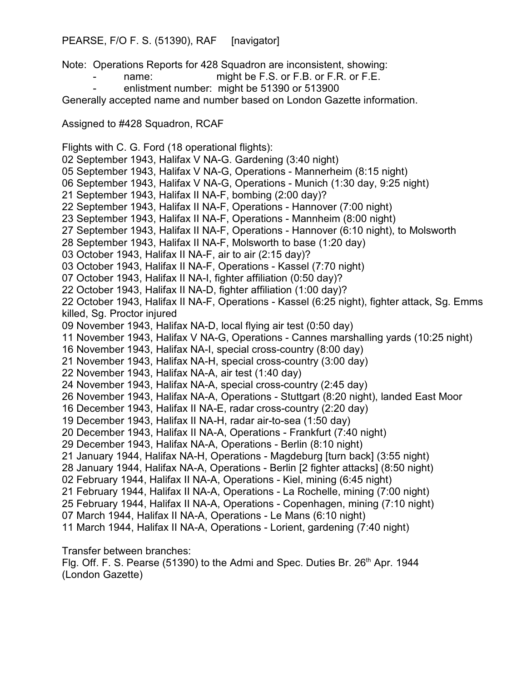## PEARSE, F/O F. S. (51390), RAF [navigator]

Note: Operations Reports for 428 Squadron are inconsistent, showing:

- name: might be F.S. or F.B. or F.R. or F.E.
- enlistment number: might be 51390 or 513900

Generally accepted name and number based on London Gazette information.

Assigned to #428 Squadron, RCAF

Flights with C. G. Ford (18 operational flights): 02 September 1943, Halifax V NA-G. Gardening (3:40 night) 05 September 1943, Halifax V NA-G, Operations - Mannerheim (8:15 night) 06 September 1943, Halifax V NA-G, Operations - Munich (1:30 day, 9:25 night) 21 September 1943, Halifax II NA-F, bombing (2:00 day)? 22 September 1943, Halifax II NA-F, Operations - Hannover (7:00 night) 23 September 1943, Halifax II NA-F, Operations - Mannheim (8:00 night) 27 September 1943, Halifax II NA-F, Operations - Hannover (6:10 night), to Molsworth 28 September 1943, Halifax II NA-F, Molsworth to base (1:20 day) 03 October 1943, Halifax II NA-F, air to air (2:15 day)? 03 October 1943, Halifax II NA-F, Operations - Kassel (7:70 night) 07 October 1943, Halifax II NA-I, fighter affiliation (0:50 day)? 22 October 1943, Halifax II NA-D, fighter affiliation (1:00 day)? 22 October 1943, Halifax II NA-F, Operations - Kassel (6:25 night), fighter attack, Sg. Emms killed, Sg. Proctor injured 09 November 1943, Halifax NA-D, local flying air test (0:50 day) 11 November 1943, Halifax V NA-G, Operations - Cannes marshalling yards (10:25 night) 16 November 1943, Halifax NA-I, special cross-country (8:00 day) 21 November 1943, Halifax NA-H, special cross-country (3:00 day) 22 November 1943, Halifax NA-A, air test (1:40 day) 24 November 1943, Halifax NA-A, special cross-country (2:45 day) 26 November 1943, Halifax NA-A, Operations - Stuttgart (8:20 night), landed East Moor 16 December 1943, Halifax II NA-E, radar cross-country (2:20 day) 19 December 1943, Halifax II NA-H, radar air-to-sea (1:50 day) 20 December 1943, Halifax II NA-A, Operations - Frankfurt (7:40 night) 29 December 1943, Halifax NA-A, Operations - Berlin (8:10 night) 21 January 1944, Halifax NA-H, Operations - Magdeburg [turn back] (3:55 night) 28 January 1944, Halifax NA-A, Operations - Berlin [2 fighter attacks] (8:50 night) 02 February 1944, Halifax II NA-A, Operations - Kiel, mining (6:45 night) 21 February 1944, Halifax II NA-A, Operations - La Rochelle, mining (7:00 night) 25 February 1944, Halifax II NA-A, Operations - Copenhagen, mining (7:10 night) 07 March 1944, Halifax II NA-A, Operations - Le Mans (6:10 night) 11 March 1944, Halifax II NA-A, Operations - Lorient, gardening (7:40 night)

Transfer between branches:

Flg. Off. F. S. Pearse (51390) to the Admi and Spec. Duties Br. 26<sup>th</sup> Apr. 1944 (London Gazette)